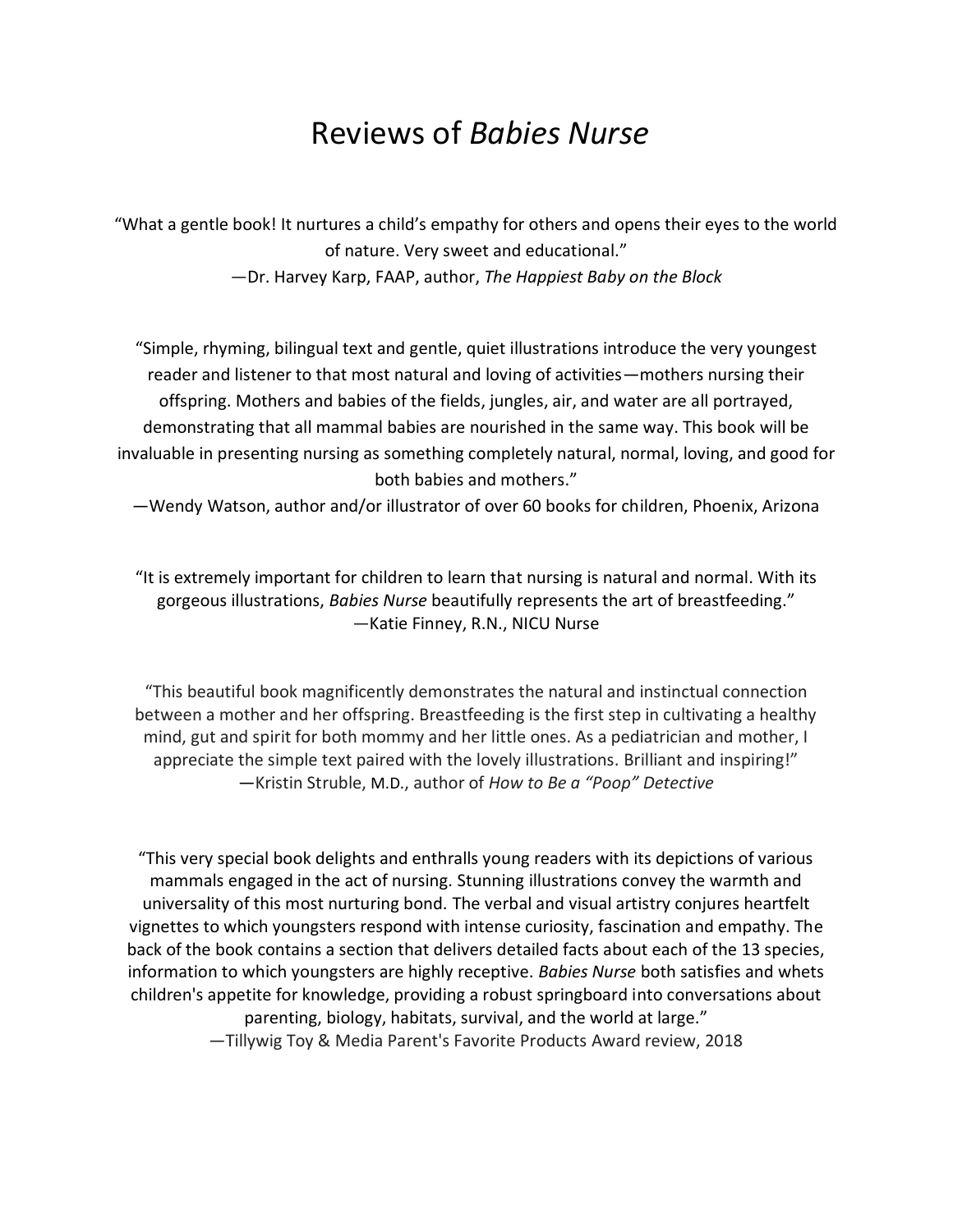## Reviews of *Babies Nurse*

"What a gentle book! It nurtures a child's empathy for others and opens their eyes to the world of nature. Very sweet and educational."

—Dr. Harvey Karp, FAAP, author, *The Happiest Baby on the Block*

"Simple, rhyming, bilingual text and gentle, quiet illustrations introduce the very youngest reader and listener to that most natural and loving of activities—mothers nursing their offspring. Mothers and babies of the fields, jungles, air, and water are all portrayed, demonstrating that all mammal babies are nourished in the same way. This book will be invaluable in presenting nursing as something completely natural, normal, loving, and good for both babies and mothers."

—Wendy Watson, author and/or illustrator of over 60 books for children, Phoenix, Arizona

"It is extremely important for children to learn that nursing is natural and normal. With its gorgeous illustrations, *Babies Nurse* beautifully represents the art of breastfeeding." —Katie Finney, R.N., NICU Nurse

"This beautiful book magnificently demonstrates the natural and instinctual connection between a mother and her offspring. Breastfeeding is the first step in cultivating a healthy mind, gut and spirit for both mommy and her little ones. As a pediatrician and mother, I appreciate the simple text paired with the lovely illustrations. Brilliant and inspiring!" —Kristin Struble, M.D., author of *How to Be a "Poop" Detective*

"This very special book delights and enthralls young readers with its depictions of various mammals engaged in the act of nursing. Stunning illustrations convey the warmth and universality of this most nurturing bond. The verbal and visual artistry conjures heartfelt vignettes to which youngsters respond with intense curiosity, fascination and empathy. The back of the book contains a section that delivers detailed facts about each of the 13 species, information to which youngsters are highly receptive. *Babies Nurse* both satisfies and whets children's appetite for knowledge, providing a robust springboard into conversations about parenting, biology, habitats, survival, and the world at large." —Tillywig Toy & Media Parent's Favorite Products Award review, 2018